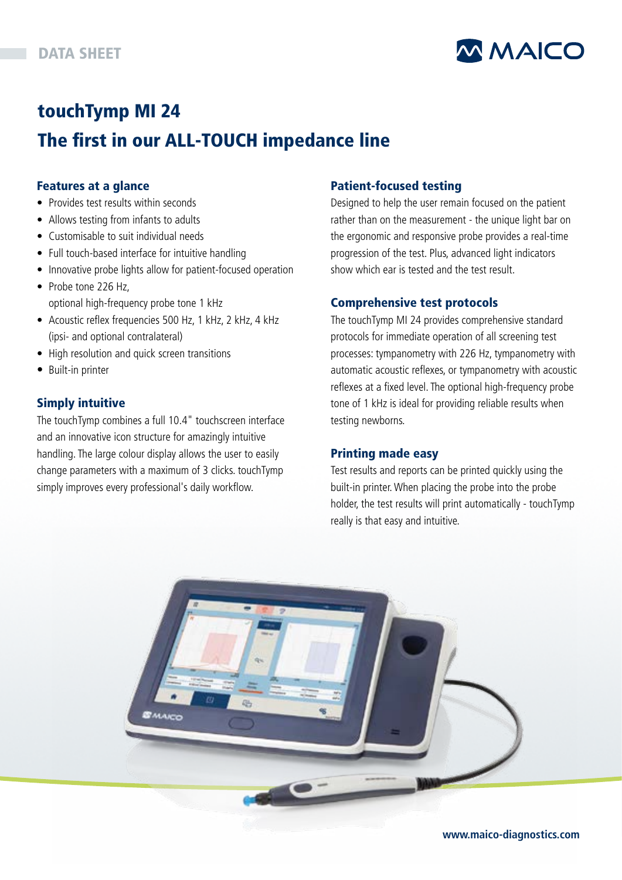

# touchTymp MI 24 The first in our ALL-TOUCH impedance line

#### Features at a glance

- Provides test results within seconds
- Allows testing from infants to adults
- Customisable to suit individual needs
- Full touch-based interface for intuitive handling
- Innovative probe lights allow for patient-focused operation
- Probe tone 226 Hz, optional high-frequency probe tone 1 kHz
- Acoustic reflex frequencies 500 Hz, 1 kHz, 2 kHz, 4 kHz (ipsi- and optional contralateral)
- High resolution and quick screen transitions
- Built-in printer

#### Simply intuitive

The touchTymp combines a full 10.4" touchscreen interface and an innovative icon structure for amazingly intuitive handling. The large colour display allows the user to easily change parameters with a maximum of 3 clicks. touchTymp simply improves every professional's daily workflow.

#### Patient-focused testing

Designed to help the user remain focused on the patient rather than on the measurement - the unique light bar on the ergonomic and responsive probe provides a real-time progression of the test. Plus, advanced light indicators show which ear is tested and the test result.

#### Comprehensive test protocols

The touchTymp MI 24 provides comprehensive standard protocols for immediate operation of all screening test processes: tympanometry with 226 Hz, tympanometry with automatic acoustic reflexes, or tympanometry with acoustic reflexes at a fixed level. The optional high-frequency probe tone of 1 kHz is ideal for providing reliable results when testing newborns.

#### Printing made easy

Test results and reports can be printed quickly using the built-in printer. When placing the probe into the probe holder, the test results will print automatically - touchTymp really is that easy and intuitive.